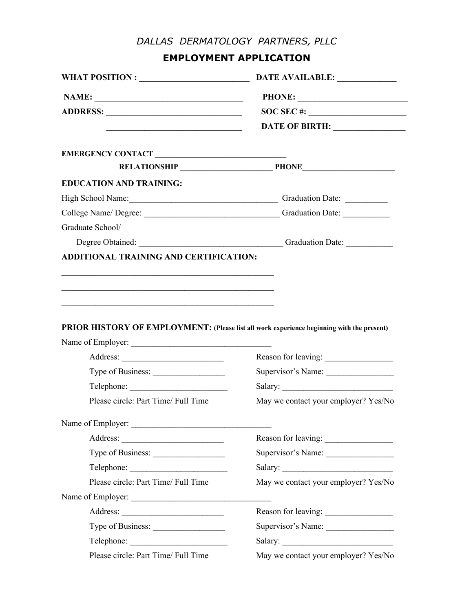## *DALLAS DERMATOLOGY PARTNERS, PLLC*

**EMPLOYMENT APPLICATION**

|                                                                                                                      | DATE AVAILABLE:                                                                                                                                                                                                                |  |
|----------------------------------------------------------------------------------------------------------------------|--------------------------------------------------------------------------------------------------------------------------------------------------------------------------------------------------------------------------------|--|
|                                                                                                                      | PHONE:                                                                                                                                                                                                                         |  |
|                                                                                                                      |                                                                                                                                                                                                                                |  |
| <u> 1990 - Johann John Barn, mars eta inperiodoren eta inperiodoren eta inperiodoren erroman erroman erroman err</u> | DATE OF BIRTH: _________________                                                                                                                                                                                               |  |
| EMERGENCY CONTACT                                                                                                    |                                                                                                                                                                                                                                |  |
|                                                                                                                      | RELATIONSHIP PHONE                                                                                                                                                                                                             |  |
| <b>EDUCATION AND TRAINING:</b>                                                                                       |                                                                                                                                                                                                                                |  |
| High School Name: Cameran Communication Date: Cameran Communication Date:                                            |                                                                                                                                                                                                                                |  |
|                                                                                                                      | College Name/ Degree: _________________________________Graduation Date: _________                                                                                                                                              |  |
| Graduate School/                                                                                                     |                                                                                                                                                                                                                                |  |
|                                                                                                                      | Degree Obtained: Channel Channel Channel Channel Channel Channel Channel Channel Channel Channel Channel Channel Channel Channel Channel Channel Channel Channel Channel Channel Channel Channel Channel Channel Channel Chann |  |
|                                                                                                                      |                                                                                                                                                                                                                                |  |
| PRIOR HISTORY OF EMPLOYMENT: (Please list all work experience beginning with the present)                            |                                                                                                                                                                                                                                |  |
|                                                                                                                      |                                                                                                                                                                                                                                |  |
|                                                                                                                      | Reason for leaving:                                                                                                                                                                                                            |  |
| Type of Business:                                                                                                    | Supervisor's Name:                                                                                                                                                                                                             |  |
| Please circle: Part Time/ Full Time                                                                                  |                                                                                                                                                                                                                                |  |
| Name of Employer:                                                                                                    |                                                                                                                                                                                                                                |  |
|                                                                                                                      |                                                                                                                                                                                                                                |  |
| Type of Business:                                                                                                    |                                                                                                                                                                                                                                |  |
|                                                                                                                      |                                                                                                                                                                                                                                |  |
| Please circle: Part Time/ Full Time                                                                                  |                                                                                                                                                                                                                                |  |
|                                                                                                                      |                                                                                                                                                                                                                                |  |
|                                                                                                                      |                                                                                                                                                                                                                                |  |
| Type of Business:                                                                                                    |                                                                                                                                                                                                                                |  |
|                                                                                                                      | May we contact your employer? Yes/No<br>Reason for leaving:<br>Supervisor's Name:<br>May we contact your employer? Yes/No<br>Reason for leaving:<br>Supervisor's Name:                                                         |  |